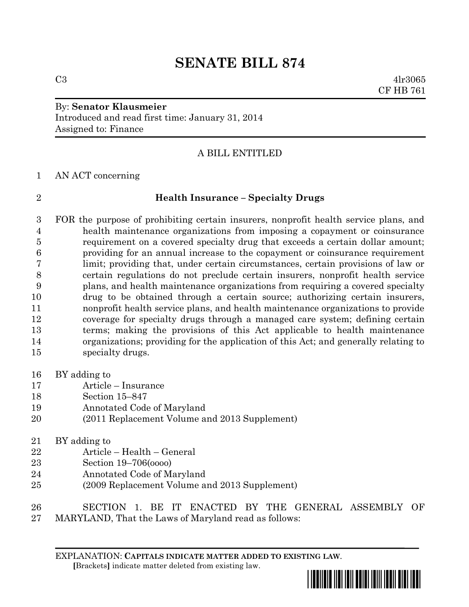# **SENATE BILL 874**

 $C3 \t 4lr3065$ CF HB 761

### By: **Senator Klausmeier** Introduced and read first time: January 31, 2014 Assigned to: Finance

## A BILL ENTITLED

AN ACT concerning

### **Health Insurance – Specialty Drugs**

 FOR the purpose of prohibiting certain insurers, nonprofit health service plans, and health maintenance organizations from imposing a copayment or coinsurance requirement on a covered specialty drug that exceeds a certain dollar amount; providing for an annual increase to the copayment or coinsurance requirement limit; providing that, under certain circumstances, certain provisions of law or certain regulations do not preclude certain insurers, nonprofit health service plans, and health maintenance organizations from requiring a covered specialty drug to be obtained through a certain source; authorizing certain insurers, nonprofit health service plans, and health maintenance organizations to provide coverage for specialty drugs through a managed care system; defining certain terms; making the provisions of this Act applicable to health maintenance organizations; providing for the application of this Act; and generally relating to specialty drugs.

- BY adding to
- Article Insurance
- Section 15–847
- Annotated Code of Maryland
- (2011 Replacement Volume and 2013 Supplement)
- BY adding to
- Article Health General
- Section 19–706(oooo)
- Annotated Code of Maryland
- (2009 Replacement Volume and 2013 Supplement)
- SECTION 1. BE IT ENACTED BY THE GENERAL ASSEMBLY OF MARYLAND, That the Laws of Maryland read as follows:

EXPLANATION: **CAPITALS INDICATE MATTER ADDED TO EXISTING LAW**.  **[**Brackets**]** indicate matter deleted from existing law.

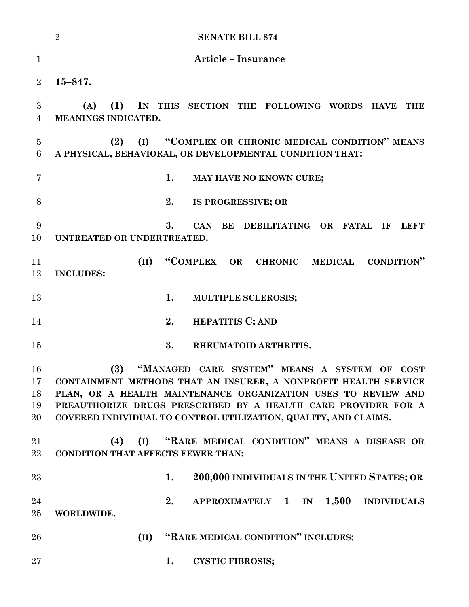|                            | <b>SENATE BILL 874</b><br>$\overline{2}$                                                                                                                                                                                                                                                                                    |
|----------------------------|-----------------------------------------------------------------------------------------------------------------------------------------------------------------------------------------------------------------------------------------------------------------------------------------------------------------------------|
| $\mathbf{1}$               | <b>Article - Insurance</b>                                                                                                                                                                                                                                                                                                  |
| $\overline{2}$             | $15 - 847.$                                                                                                                                                                                                                                                                                                                 |
| 3<br>$\overline{4}$        | IN THIS SECTION THE FOLLOWING WORDS HAVE<br>(A)<br>(1)<br><b>THE</b><br>MEANINGS INDICATED.                                                                                                                                                                                                                                 |
| $\overline{5}$<br>6        | "COMPLEX OR CHRONIC MEDICAL CONDITION" MEANS<br>(2)<br>(I)<br>A PHYSICAL, BEHAVIORAL, OR DEVELOPMENTAL CONDITION THAT:                                                                                                                                                                                                      |
| 7                          | 1.<br>MAY HAVE NO KNOWN CURE;                                                                                                                                                                                                                                                                                               |
| 8                          | 2.<br>IS PROGRESSIVE; OR                                                                                                                                                                                                                                                                                                    |
| 9<br>10                    | 3.<br><b>CAN</b><br>BE DEBILITATING OR FATAL IF<br>LEFT<br>UNTREATED OR UNDERTREATED.                                                                                                                                                                                                                                       |
| 11<br>12                   | "COMPLEX OR CHRONIC MEDICAL<br>(II)<br><b>CONDITION</b> "<br><b>INCLUDES:</b>                                                                                                                                                                                                                                               |
| 13                         | 1.<br>MULTIPLE SCLEROSIS;                                                                                                                                                                                                                                                                                                   |
| 14                         | 2.<br><b>HEPATITIS C; AND</b>                                                                                                                                                                                                                                                                                               |
| 15                         | 3.<br>RHEUMATOID ARTHRITIS.                                                                                                                                                                                                                                                                                                 |
| 16<br>17<br>18<br>19<br>20 | (3)<br>"MANAGED CARE SYSTEM" MEANS A SYSTEM OF COST<br>CONTAINMENT METHODS THAT AN INSURER, A NONPROFIT HEALTH SERVICE<br>PLAN, OR A HEALTH MAINTENANCE ORGANIZATION USES TO REVIEW AND<br>PREAUTHORIZE DRUGS PRESCRIBED BY A HEALTH CARE PROVIDER FOR A<br>COVERED INDIVIDUAL TO CONTROL UTILIZATION, QUALITY, AND CLAIMS. |
| 21<br>$22\,$               | (I) "RARE MEDICAL CONDITION" MEANS A DISEASE OR<br>(4)<br><b>CONDITION THAT AFFECTS FEWER THAN:</b>                                                                                                                                                                                                                         |
| 23                         | 200,000 INDIVIDUALS IN THE UNITED STATES; OR<br>1.                                                                                                                                                                                                                                                                          |
| 24<br>25                   | 2.<br>APPROXIMATELY 1 IN 1,500<br><b>INDIVIDUALS</b><br>WORLDWIDE.                                                                                                                                                                                                                                                          |
| 26                         | "RARE MEDICAL CONDITION" INCLUDES:<br>(II)                                                                                                                                                                                                                                                                                  |
| $27\,$                     | 1.<br><b>CYSTIC FIBROSIS;</b>                                                                                                                                                                                                                                                                                               |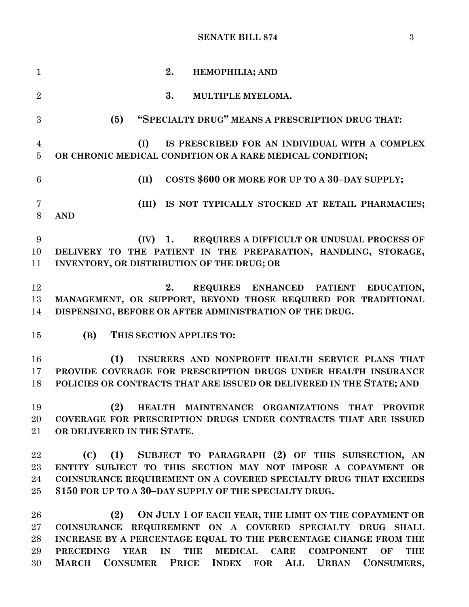### **SENATE BILL 874** 3

 **2. HEMOPHILIA; AND 3. MULTIPLE MYELOMA. (5) "SPECIALTY DRUG" MEANS A PRESCRIPTION DRUG THAT: (I) IS PRESCRIBED FOR AN INDIVIDUAL WITH A COMPLEX OR CHRONIC MEDICAL CONDITION OR A RARE MEDICAL CONDITION; (II) COSTS \$600 OR MORE FOR UP TO A 30–DAY SUPPLY; (III) IS NOT TYPICALLY STOCKED AT RETAIL PHARMACIES; AND (IV) 1. REQUIRES A DIFFICULT OR UNUSUAL PROCESS OF DELIVERY TO THE PATIENT IN THE PREPARATION, HANDLING, STORAGE, INVENTORY, OR DISTRIBUTION OF THE DRUG; OR 2. REQUIRES ENHANCED PATIENT EDUCATION, MANAGEMENT, OR SUPPORT, BEYOND THOSE REQUIRED FOR TRADITIONAL DISPENSING, BEFORE OR AFTER ADMINISTRATION OF THE DRUG. (B) THIS SECTION APPLIES TO: (1) INSURERS AND NONPROFIT HEALTH SERVICE PLANS THAT PROVIDE COVERAGE FOR PRESCRIPTION DRUGS UNDER HEALTH INSURANCE POLICIES OR CONTRACTS THAT ARE ISSUED OR DELIVERED IN THE STATE; AND (2) HEALTH MAINTENANCE ORGANIZATIONS THAT PROVIDE COVERAGE FOR PRESCRIPTION DRUGS UNDER CONTRACTS THAT ARE ISSUED OR DELIVERED IN THE STATE. (C) (1) SUBJECT TO PARAGRAPH (2) OF THIS SUBSECTION, AN ENTITY SUBJECT TO THIS SECTION MAY NOT IMPOSE A COPAYMENT OR COINSURANCE REQUIREMENT ON A COVERED SPECIALTY DRUG THAT EXCEEDS \$150 FOR UP TO A 30–DAY SUPPLY OF THE SPECIALTY DRUG. (2) ON JULY 1 OF EACH YEAR, THE LIMIT ON THE COPAYMENT OR COINSURANCE REQUIREMENT ON A COVERED SPECIALTY DRUG SHALL INCREASE BY A PERCENTAGE EQUAL TO THE PERCENTAGE CHANGE FROM THE PRECEDING YEAR IN THE MEDICAL CARE COMPONENT OF THE MARCH CONSUMER PRICE INDEX FOR ALL URBAN CONSUMERS,**